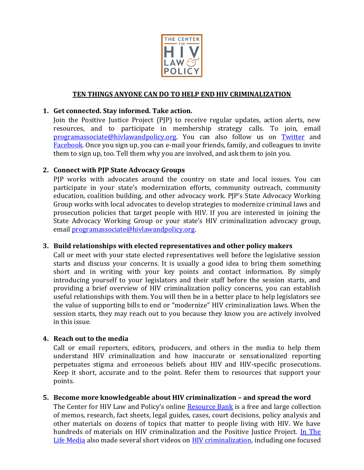

## **TEN THINGS ANYONE CAN DO TO HELP END HIV CRIMINALIZATION**

### **1. Get connected. Stay informed. Take action.**

Join the Positive Justice Project (PJP) to receive regular updates, action alerts, new resources, and to participate in membership strategy calls. To join, email [programassociate@hivlawandpolicy.org.](mailto:programassociate@hivlawandpolicy.org) You can also follow us on [Twitter](https://twitter.com/CtrHIVLawPolicy) and [Facebook.](http://www.facebook.com/pages/Positive-Justice-Project/166319170046118) Once you sign up, you can e-mail your friends, family, and colleagues to invite them to sign up, too. Tell them why you are involved, and ask them to join you.

### **2. Connect with PJP State Advocacy Groups**

PJP works with advocates around the country on state and local issues. You can participate in your state's modernization efforts, community outreach, community education, coalition building, and other advocacy work. PJP's State Advocacy Working Group works with local advocates to develop strategies to modernize criminal laws and prosecution policies that target people with HIV. If you are interested in joining the State Advocacy Working Group or your state's HIV criminalization advocacy group, email [programassociate@hivlawandpolicy.org.](mailto:programassociate@hivlawandpolicy.org)

#### **3. Build relationships with elected representatives and other policy makers**

Call or meet with your state elected representatives well before the legislative session starts and discuss your concerns. It is usually a good idea to bring them something short and in writing with your key points and contact information. By simply introducing yourself to your legislators and their staff before the session starts, and providing a brief overview of HIV criminalization policy concerns, you can establish useful relationships with them. You will then be in a better place to help legislators see the value of supporting bills to end or "modernize" HIV criminalization laws. When the session starts, they may reach out to you because they know you are actively involved in this issue.

#### **4. Reach out to the media**

Call or email reporters, editors, producers, and others in the media to help them understand HIV criminalization and how inaccurate or sensationalized reporting perpetuates stigma and erroneous beliefs about HIV and HIV-specific prosecutions. Keep it short, accurate and to the point. Refer them to resources that support your points.

#### **5.** Become more knowledgeable about HIV criminalization - and spread the word

The Center for HIV Law and Policy's online [Resource Bank](http://www.hivlawandpolicy.org/resource_categories/index) is a free and large collection of memos, research, fact sheets, legal guides, cases, court decisions, policy analysis and other materials on dozens of topics that matter to people living with HIV. We have hundreds of materials on HIV criminalization and the Positive Justice Project. In The [Life Media](http://www.youtube.com/user/itlmedia?feature=watch) also made several short videos on **HIV criminalization**, including one focused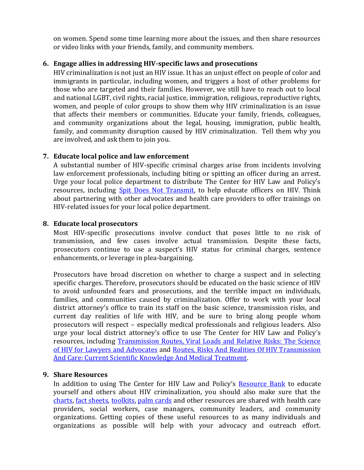on women. Spend some time learning more about the issues, and then share resources or video links with your friends, family, and community members.

# **6. Engage allies in addressing HIV-specific laws and prosecutions**

HIV criminalization is not just an HIV issue. It has an unjust effect on people of color and immigrants in particular, including women, and triggers a host of other problems for those who are targeted and their families. However, we still have to reach out to local and national LGBT, civil rights, racial justice, immigration, religious, reproductive rights, women, and people of color groups to show them why HIV criminalization is an issue that affects their members or communities. Educate your family, friends, colleagues, and community organizations about the legal, housing, immigration, public health, family, and community disruption caused by HIV criminalization. Tell them why you are involved, and ask them to join you.

# **7. Educate local police and law enforcement**

A substantial number of HIV-specific criminal charges arise from incidents involving law enforcement professionals, including biting or spitting an officer during an arrest. Urge your local police department to distribute The Center for HIV Law and Policy's resources, including **Spit Does Not Transmit**, to help educate officers on HIV. Think about partnering with other advocates and health care providers to offer trainings on HIV-related issues for your local police department.

# **8. Educate local prosecutors**

Most HIV-specific prosecutions involve conduct that poses little to no risk of transmission, and few cases involve actual transmission. Despite these facts, prosecutors continue to use a suspect's HIV status for criminal charges, sentence enhancements, or leverage in plea-bargaining.

Prosecutors have broad discretion on whether to charge a suspect and in selecting specific charges. Therefore, prosecutors should be educated on the basic science of HIV to avoid unfounded fears and prosecutions, and the terrible impact on individuals, families, and communities caused by criminalization. Offer to work with your local district attorney's office to train its staff on the basic science, transmission risks, and current day realities of life with HIV, and be sure to bring along people whom prosecutors will respect – especially medical professionals and religious leaders. Also urge your local district attorney's office to use The Center for HIV Law and Policy's resources, including [Transmission Routes, Viral Loads and Relative Risks: The Science](http://www.hivlawandpolicy.org/resources/view/643)  [of HIV for Lawyers and Advocates](http://www.hivlawandpolicy.org/resources/view/643) and [Routes, Risks And Realities Of HIV Transmission](http://www.hivlawandpolicy.org/resources/routes-risks-and-realities-hiv-transmission-and-care-current-scientific-knowledge-and)  [And Care: Current Scientific Knowledge And Medical Treatment.](http://www.hivlawandpolicy.org/resources/routes-risks-and-realities-hiv-transmission-and-care-current-scientific-knowledge-and)

## **9. Share Resources**

In addition to using The Center for HIV Law and Policy's [Resource Bank](http://www.hivlawandpolicy.org/resource_categories/index) to educate yourself and others about HIV criminalization, you should also make sure that the [charts,](http://hivlawandpolicy.org/resources/view/763) [fact sheets,](http://hivlawandpolicy.org/resources/view/560) [toolkits,](http://www.hivlawandpolicy.org/resources/view/828) [palm cards](http://www.hivlawandpolicy.org/resources/view/658) and other resources are shared with health care providers, social workers, case managers, community leaders, and community organizations. Getting copies of these useful resources to as many individuals and organizations as possible will help with your advocacy and outreach effort.